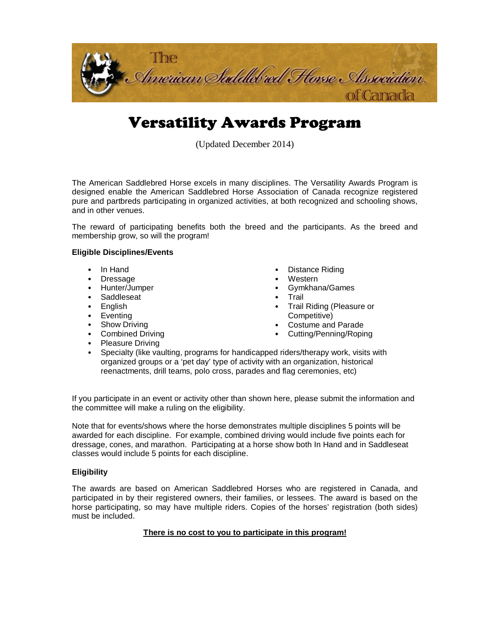

# Versatility Awards Program

(Updated December 2014)

The American Saddlebred Horse excels in many disciplines. The Versatility Awards Program is designed enable the American Saddlebred Horse Association of Canada recognize registered pure and partbreds participating in organized activities, at both recognized and schooling shows, and in other venues.

The reward of participating benefits both the breed and the participants. As the breed and membership grow, so will the program!

### **Eligible Disciplines/Events**

- *•* In Hand
- *•* Dressage
- *•* Hunter/Jumper
- *•* Saddleseat
- *•* English
- *•* Eventing
- *•* Show Driving
- *•* Combined Driving
- *•* Distance Riding
- *•* Western
- *•* Gymkhana/Games
- *•* Trail
- *•* Trail Riding (Pleasure or Competitive)
- *•* Costume and Parade
- *•* Cutting/Penning/Roping
- *•* Pleasure Driving
- *•* Specialty (like vaulting, programs for handicapped riders/therapy work, visits with organized groups or a 'pet day' type of activity with an organization, historical reenactments, drill teams, polo cross, parades and flag ceremonies, etc)

If you participate in an event or activity other than shown here, please submit the information and the committee will make a ruling on the eligibility.

Note that for events/shows where the horse demonstrates multiple disciplines 5 points will be awarded for each discipline. For example, combined driving would include five points each for dressage, cones, and marathon. Participating at a horse show both In Hand and in Saddleseat classes would include 5 points for each discipline.

### **Eligibility**

The awards are based on American Saddlebred Horses who are registered in Canada, and participated in by their registered owners, their families, or lessees. The award is based on the horse participating, so may have multiple riders. Copies of the horses' registration (both sides) must be included.

## **There is no cost to you to participate in this program!**